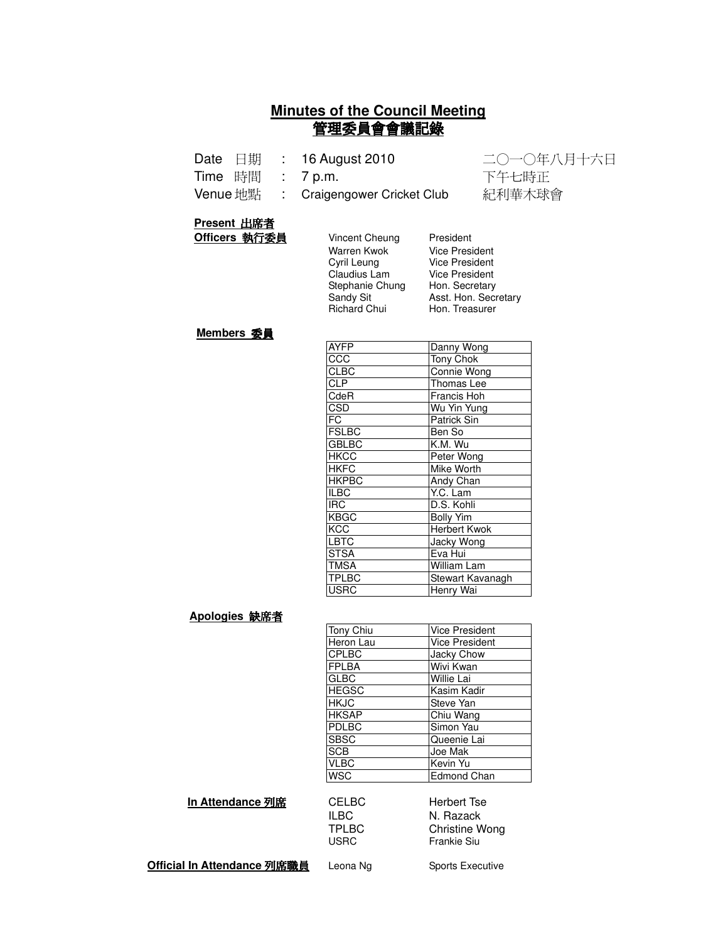## **Minutes of the Council Meeting** 管理委員會會議記錄

|  | Date 日期 : 16 August 2010                | 二〇一〇年八月十六日 |
|--|-----------------------------------------|------------|
|  | Time 時間 : 7p.m.                         | 下午七時正      |
|  | Venue 地點   :  Craigengower Cricket Club | 紀利華木球會     |

#### **Present 出席者**

| Officers 執行委員 | <b>Vincent Cheung</b> | President         |
|---------------|-----------------------|-------------------|
|               | Warren Kwok           | <b>Vice Presi</b> |
|               | Cyril Leung           | <b>Vice Presi</b> |
|               | Claudius Lam          | <b>Vice Presi</b> |
|               | Stephanie Chung       | Hon. Secr         |
|               | Sandy Sit             | Asst. Hon         |
|               | <b>Richard Chui</b>   | Hon. Trea         |

Vice President Vice President Vice President Hon. Secretary Asst. Hon. Secretary Hon. Treasurer

#### **Members 委員**

| <b>AYFP</b>             | Danny Wong        |
|-------------------------|-------------------|
| CCC                     | Tony Chok         |
| <b>CLBC</b>             | Connie Wong       |
| $\overline{CLP}$        | Thomas Lee        |
| CdeR                    | Francis Hoh       |
| <b>CSD</b>              | Wu Yin Yung       |
| FC                      | Patrick Sin       |
| <b>FSLBC</b>            | Ben So            |
| <b>GBLBC</b>            | K.M. Wu           |
| <b>HKCC</b>             | Peter Wong        |
| <b>HKFC</b>             | Mike Worth        |
| <b>HKPBC</b>            | Andy Chan         |
| <b>ILBC</b>             | Y.C. Lam          |
| $\overline{\text{IRC}}$ | D.S. Kohli        |
| <b>KBGC</b>             | <b>Bolly Yim</b>  |
| <b>KCC</b>              | Herbert Kwok      |
| LBTC                    | <b>Jacky Wong</b> |
| <b>STSA</b>             | Eva Hui           |
| <b>TMSA</b>             | William Lam       |
| <b>TPLBC</b>            | Stewart Kavanagh  |
| <b>USRC</b>             | Henry Wai         |

#### Apologies 缺席者

| <b>Vice President</b> |
|-----------------------|
| <b>Vice President</b> |
| Jacky Chow            |
| Wivi Kwan             |
| Willie Lai            |
| Kasim Kadir           |
| Steve Yan             |
| Chiu Wang             |
| Simon Yau             |
| Queenie Lai           |
| Joe Mak               |
| Kevin Yu              |
| <b>Edmond Chan</b>    |
|                       |

#### **In Attendance 列席**

| <b>CELBC</b> | Herbert Tse  |
|--------------|--------------|
| ILBC.        | N. Razack    |
| <b>TPLBC</b> | Christine Wo |
| <b>USRC</b>  | Frankie Siu  |

TPLBC Christine Wong<br>USRC Frankie Siu Frankie Siu

**Official In Attendance 列席職員** l

Leona Ng Sports Executive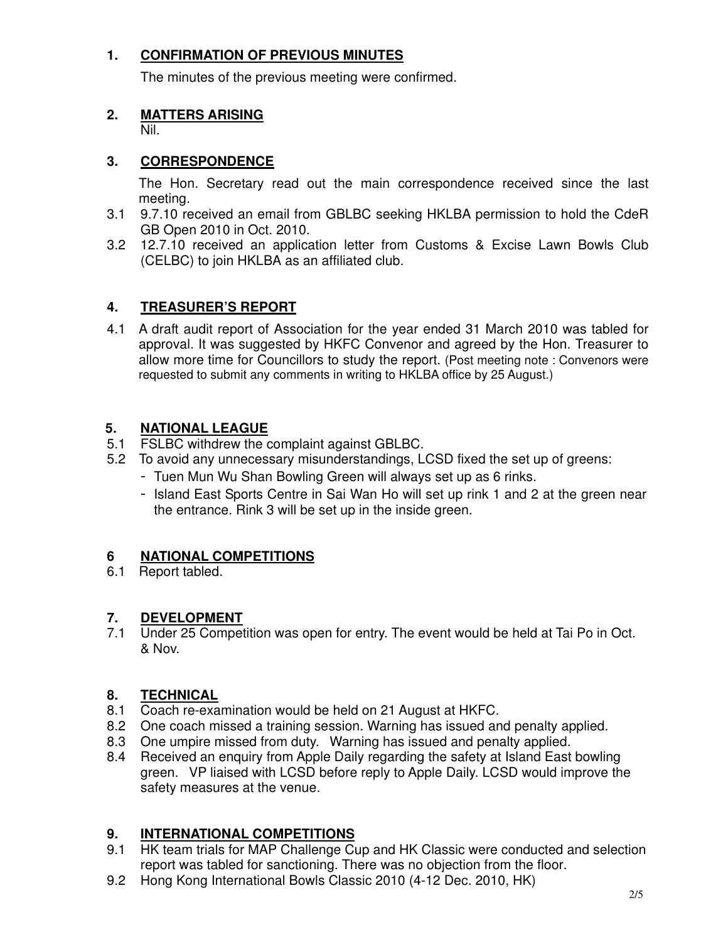## **1. CONFIRMATION OF PREVIOUS MINUTES**

The minutes of the previous meeting were confirmed.

#### **2. MATTERS ARISING**

Nil.

#### **3. CORRESPONDENCE**

The Hon. Secretary read out the main correspondence received since the last meeting.

- 3.1 9.7.10 received an email from GBLBC seeking HKLBA permission to hold the CdeR GB Open 2010 in Oct. 2010.
- 3.2 12.7.10 received an application letter from Customs & Excise Lawn Bowls Club (CELBC) to join HKLBA as an affiliated club.

# **4. TREASURER'S REPORT**

4.1 A draft audit report of Association for the year ended 31 March 2010 was tabled for approval. It was suggested by HKFC Convenor and agreed by the Hon. Treasurer to allow more time for Councillors to study the report. (Post meeting note : Convenors were requested to submit any comments in writing to HKLBA office by 25 August.)

## **5. NATIONAL LEAGUE**

- 5.1 FSLBC withdrew the complaint against GBLBC.
- 5.2 To avoid any unnecessary misunderstandings, LCSD fixed the set up of greens:
	- Tuen Mun Wu Shan Bowling Green will always set up as 6 rinks.
	- Island East Sports Centre in Sai Wan Ho will set up rink 1 and 2 at the green near the entrance. Rink 3 will be set up in the inside green.

## **6 NATIONAL COMPETITIONS**

6.1 Report tabled.

## **7. DEVELOPMENT**

7.1 Under 25 Competition was open for entry. The event would be held at Tai Po in Oct. & Nov.

## **8. TECHNICAL**

- 8.1 Coach re-examination would be held on 21 August at HKFC.
- 8.2 One coach missed a training session. Warning has issued and penalty applied.
- 8.3 One umpire missed from duty. Warning has issued and penalty applied.
- 8.4 Received an enquiry from Apple Daily regarding the safety at Island East bowling green. VP liaised with LCSD before reply to Apple Daily. LCSD would improve the safety measures at the venue.

## **9. INTERNATIONAL COMPETITIONS**

- 9.1 HK team trials for MAP Challenge Cup and HK Classic were conducted and selection report was tabled for sanctioning. There was no objection from the floor.
- 9.2 Hong Kong International Bowls Classic 2010 (4-12 Dec. 2010, HK)